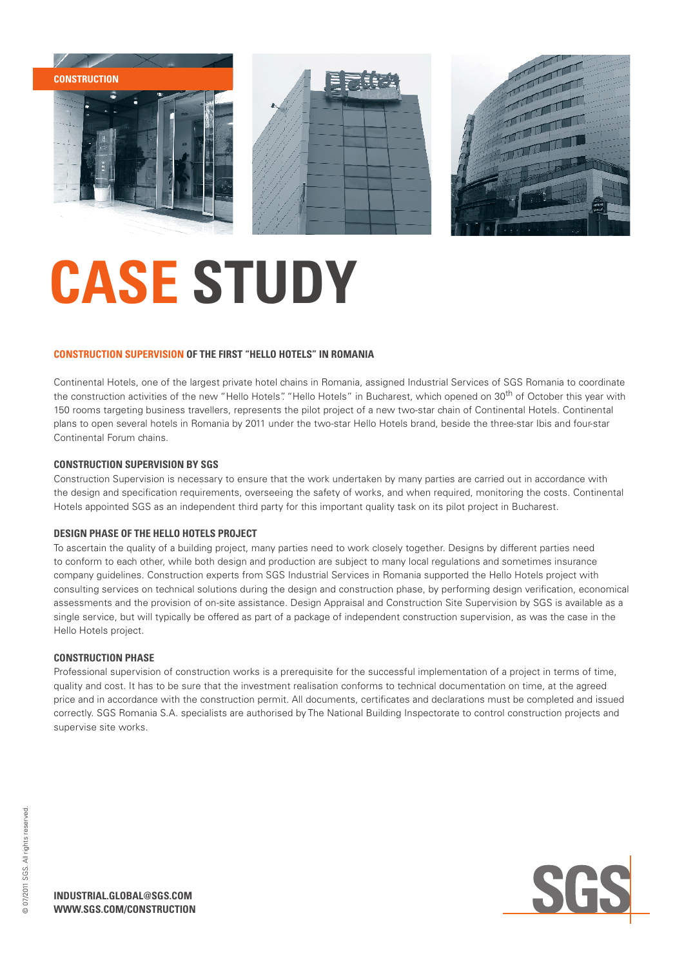

## **CASE STUDY**

### **Construction supervision of the first "Hello Hotels" in Romania**

Continental Hotels, one of the largest private hotel chains in Romania, assigned Industrial Services of SGS Romania to coordinate the construction activities of the new "Hello Hotels". "Hello Hotels" in Bucharest, which opened on 30<sup>th</sup> of October this year with 150 rooms targeting business travellers, represents the pilot project of a new two-star chain of Continental Hotels. Continental plans to open several hotels in Romania by 2011 under the two-star Hello Hotels brand, beside the three-star Ibis and four-star Continental Forum chains.

## **Construction Supervision by SGS**

Construction Supervision is necessary to ensure that the work undertaken by many parties are carried out in accordance with the design and specification requirements, overseeing the safety of works, and when required, monitoring the costs. Continental Hotels appointed SGS as an independent third party for this important quality task on its pilot project in Bucharest.

### **Design Phase of the Hello Hotels project**

To ascertain the quality of a building project, many parties need to work closely together. Designs by different parties need to conform to each other, while both design and production are subject to many local regulations and sometimes insurance company guidelines. Construction experts from SGS Industrial Services in Romania supported the Hello Hotels project with consulting services on technical solutions during the design and construction phase, by performing design verification, economical assessments and the provision of on-site assistance. Design Appraisal and Construction Site Supervision by SGS is available as a single service, but will typically be offered as part of a package of independent construction supervision, as was the case in the Hello Hotels project.

### **Construction Phase**

Professional supervision of construction works is a prerequisite for the successful implementation of a project in terms of time, quality and cost. It has to be sure that the investment realisation conforms to technical documentation on time, at the agreed price and in accordance with the construction permit. All documents, certificates and declarations must be completed and issued correctly. SGS Romania S.A. specialists are authorised by The National Building Inspectorate to control construction projects and supervise site works.